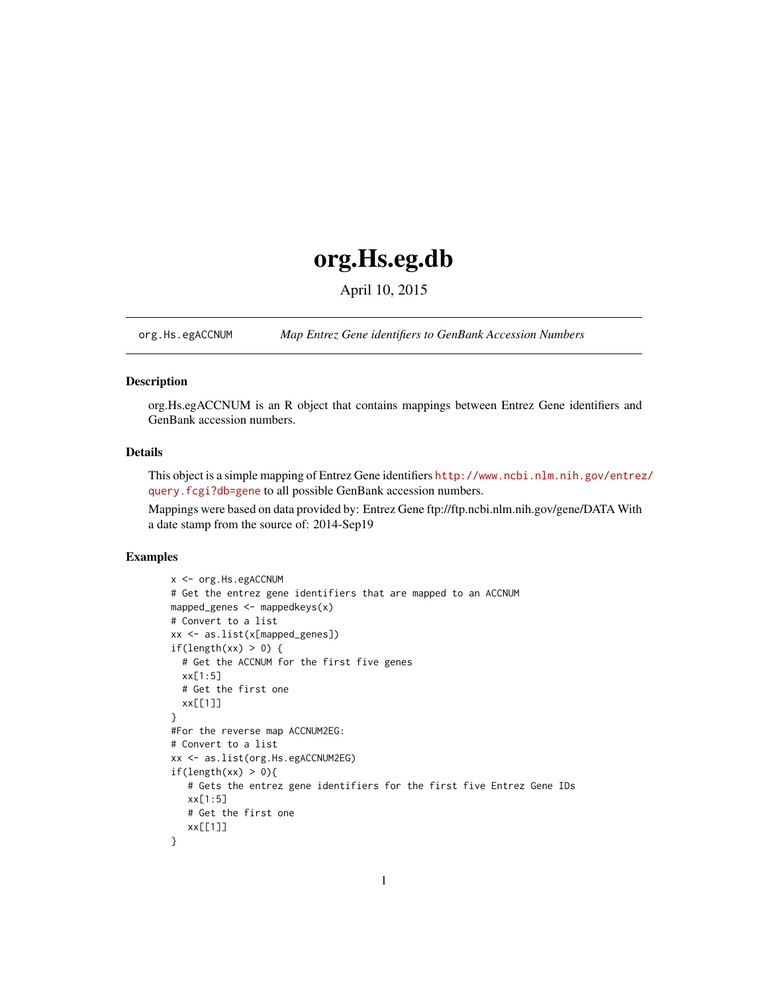# org.Hs.eg.db

April 10, 2015

<span id="page-0-1"></span><span id="page-0-0"></span>org.Hs.egACCNUM *Map Entrez Gene identifiers to GenBank Accession Numbers*

# Description

org.Hs.egACCNUM is an R object that contains mappings between Entrez Gene identifiers and GenBank accession numbers.

# Details

This object is a simple mapping of Entrez Gene identifiers [http://www.ncbi.nlm.nih.gov/entrez](http://www.ncbi.nlm.nih.gov/entrez/query.fcgi?db=gene)/ [query.fcgi?db=gene](http://www.ncbi.nlm.nih.gov/entrez/query.fcgi?db=gene) to all possible GenBank accession numbers.

Mappings were based on data provided by: Entrez Gene ftp://ftp.ncbi.nlm.nih.gov/gene/DATA With a date stamp from the source of: 2014-Sep19

```
x <- org.Hs.egACCNUM
# Get the entrez gene identifiers that are mapped to an ACCNUM
mapped_genes <- mappedkeys(x)
# Convert to a list
xx <- as.list(x[mapped_genes])
if(length(xx) > 0) {
  # Get the ACCNUM for the first five genes
  xx[1:5]
  # Get the first one
  xx[[1]]
}
#For the reverse map ACCNUM2EG:
# Convert to a list
xx <- as.list(org.Hs.egACCNUM2EG)
if(length(xx) > 0){
   # Gets the entrez gene identifiers for the first five Entrez Gene IDs
   xx[1:5]
   # Get the first one
   xx[[1]]
}
```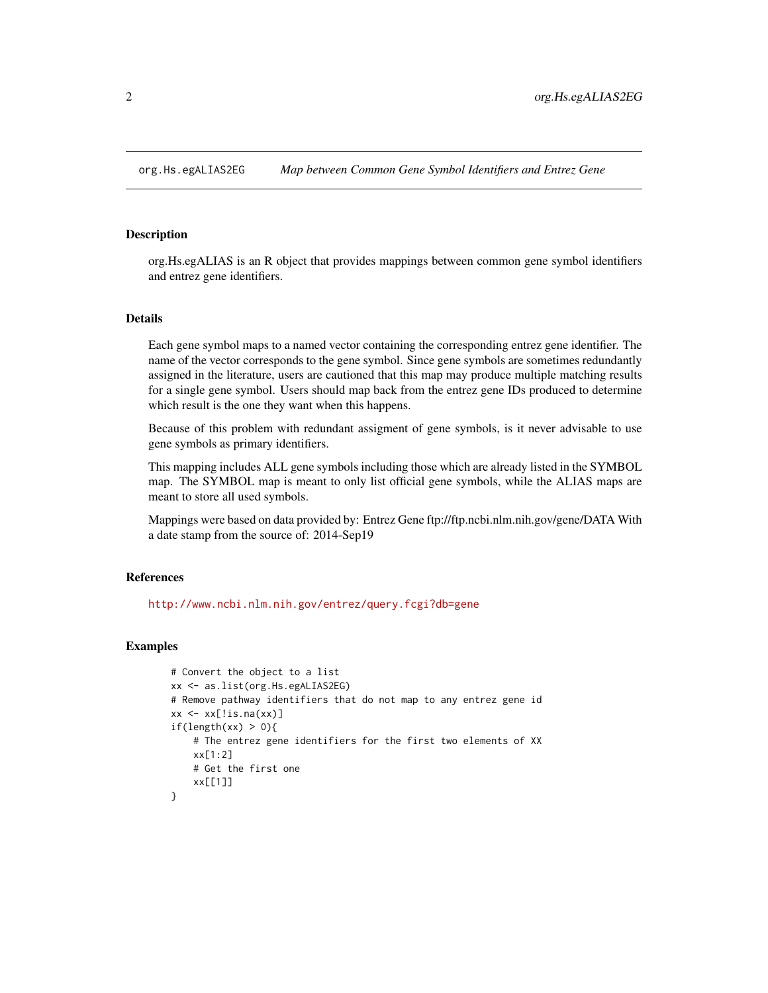<span id="page-1-0"></span>

#### Description

org.Hs.egALIAS is an R object that provides mappings between common gene symbol identifiers and entrez gene identifiers.

## Details

Each gene symbol maps to a named vector containing the corresponding entrez gene identifier. The name of the vector corresponds to the gene symbol. Since gene symbols are sometimes redundantly assigned in the literature, users are cautioned that this map may produce multiple matching results for a single gene symbol. Users should map back from the entrez gene IDs produced to determine which result is the one they want when this happens.

Because of this problem with redundant assigment of gene symbols, is it never advisable to use gene symbols as primary identifiers.

This mapping includes ALL gene symbols including those which are already listed in the SYMBOL map. The SYMBOL map is meant to only list official gene symbols, while the ALIAS maps are meant to store all used symbols.

Mappings were based on data provided by: Entrez Gene ftp://ftp.ncbi.nlm.nih.gov/gene/DATA With a date stamp from the source of: 2014-Sep19

#### **References**

<http://www.ncbi.nlm.nih.gov/entrez/query.fcgi?db=gene>

```
# Convert the object to a list
xx <- as.list(org.Hs.egALIAS2EG)
# Remove pathway identifiers that do not map to any entrez gene id
xx \leq -x \times [!is.na(xx)]if(length(xx) > 0){
    # The entrez gene identifiers for the first two elements of XX
    xx[1:2]
    # Get the first one
    xx[[1]]
}
```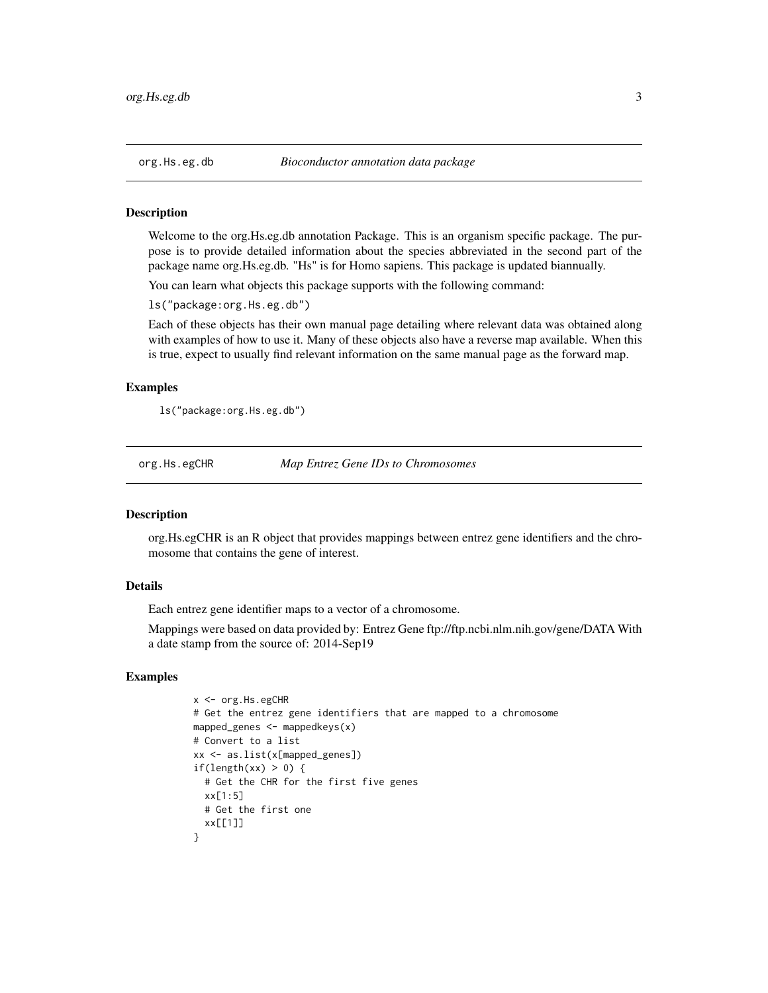<span id="page-2-0"></span>

#### Description

Welcome to the org.Hs.eg.db annotation Package. This is an organism specific package. The purpose is to provide detailed information about the species abbreviated in the second part of the package name org.Hs.eg.db. "Hs" is for Homo sapiens. This package is updated biannually.

You can learn what objects this package supports with the following command:

ls("package:org.Hs.eg.db")

Each of these objects has their own manual page detailing where relevant data was obtained along with examples of how to use it. Many of these objects also have a reverse map available. When this is true, expect to usually find relevant information on the same manual page as the forward map.

## Examples

ls("package:org.Hs.eg.db")

org.Hs.egCHR *Map Entrez Gene IDs to Chromosomes*

#### Description

org.Hs.egCHR is an R object that provides mappings between entrez gene identifiers and the chromosome that contains the gene of interest.

## Details

Each entrez gene identifier maps to a vector of a chromosome.

Mappings were based on data provided by: Entrez Gene ftp://ftp.ncbi.nlm.nih.gov/gene/DATA With a date stamp from the source of: 2014-Sep19

```
x <- org.Hs.egCHR
# Get the entrez gene identifiers that are mapped to a chromosome
mapped_genes \leq mappedkeys(x)
# Convert to a list
xx <- as.list(x[mapped_genes])
if(length(xx) > 0) {
  # Get the CHR for the first five genes
 xx[1:5]
 # Get the first one
  xx[[1]]
}
```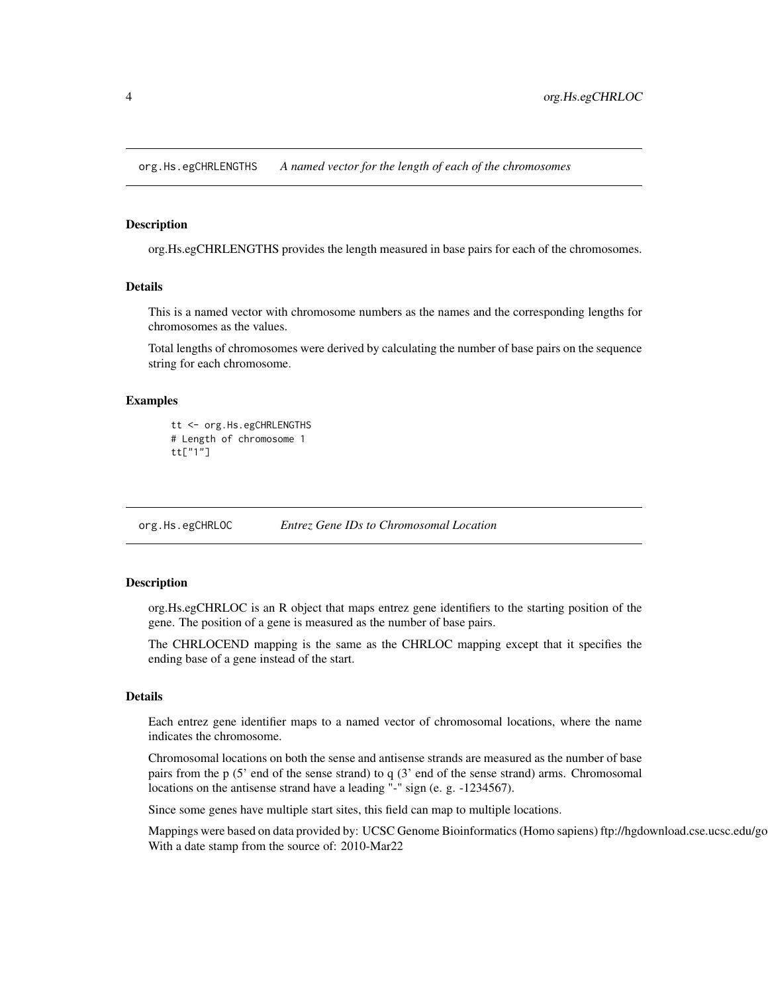<span id="page-3-0"></span>org.Hs.egCHRLENGTHS *A named vector for the length of each of the chromosomes*

# Description

org.Hs.egCHRLENGTHS provides the length measured in base pairs for each of the chromosomes.

## Details

This is a named vector with chromosome numbers as the names and the corresponding lengths for chromosomes as the values.

Total lengths of chromosomes were derived by calculating the number of base pairs on the sequence string for each chromosome.

#### Examples

```
tt <- org.Hs.egCHRLENGTHS
# Length of chromosome 1
tt["1"]
```
org.Hs.egCHRLOC *Entrez Gene IDs to Chromosomal Location*

#### Description

org.Hs.egCHRLOC is an R object that maps entrez gene identifiers to the starting position of the gene. The position of a gene is measured as the number of base pairs.

The CHRLOCEND mapping is the same as the CHRLOC mapping except that it specifies the ending base of a gene instead of the start.

## Details

Each entrez gene identifier maps to a named vector of chromosomal locations, where the name indicates the chromosome.

Chromosomal locations on both the sense and antisense strands are measured as the number of base pairs from the p (5' end of the sense strand) to q (3' end of the sense strand) arms. Chromosomal locations on the antisense strand have a leading "-" sign (e. g. -1234567).

Since some genes have multiple start sites, this field can map to multiple locations.

Mappings were based on data provided by: UCSC Genome Bioinformatics (Homo sapiens) ftp://hgdownload.cse.ucsc.edu/go With a date stamp from the source of: 2010-Mar22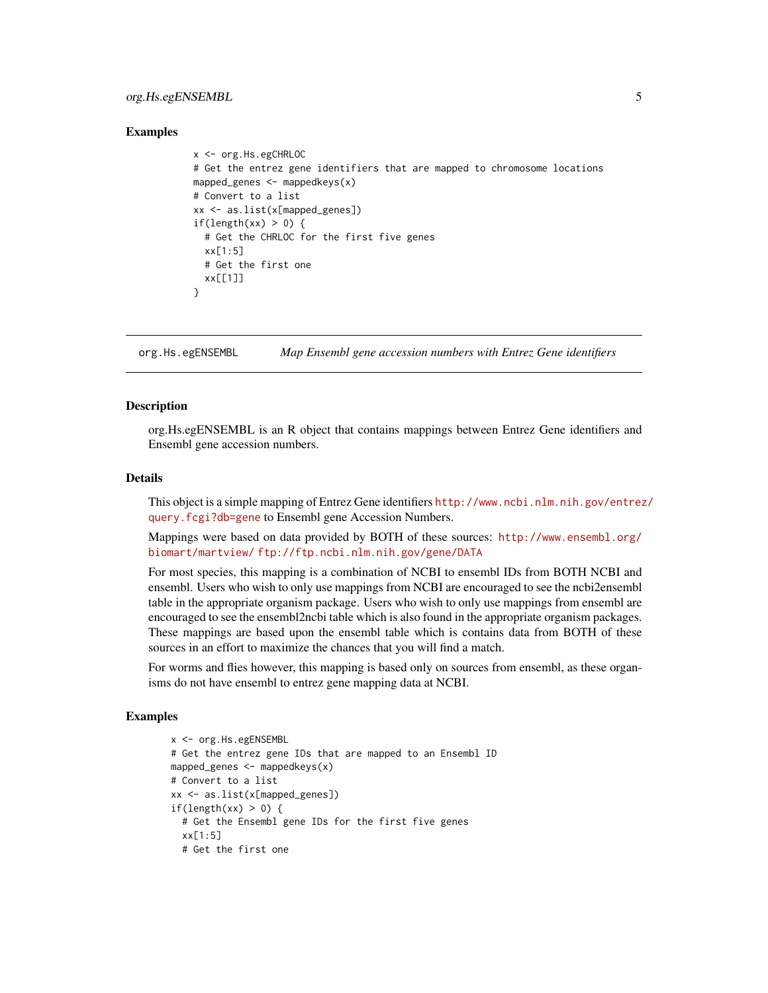# <span id="page-4-0"></span>org.Hs.egENSEMBL 5

#### Examples

```
x <- org.Hs.egCHRLOC
# Get the entrez gene identifiers that are mapped to chromosome locations
mapped_genes \leq mappedkeys(x)
# Convert to a list
xx <- as.list(x[mapped_genes])
if(length(xx) > 0) {
 # Get the CHRLOC for the first five genes
  xx[1:5]
 # Get the first one
 xx[11]}
```
org.Hs.egENSEMBL *Map Ensembl gene accession numbers with Entrez Gene identifiers*

# **Description**

org.Hs.egENSEMBL is an R object that contains mappings between Entrez Gene identifiers and Ensembl gene accession numbers.

#### Details

This object is a simple mapping of Entrez Gene identifiers [http://www.ncbi.nlm.nih.gov/entrez](http://www.ncbi.nlm.nih.gov/entrez/query.fcgi?db=gene)/ [query.fcgi?db=gene](http://www.ncbi.nlm.nih.gov/entrez/query.fcgi?db=gene) to Ensembl gene Accession Numbers.

Mappings were based on data provided by BOTH of these sources: [http://www.ensembl.org/](http://www.ensembl.org/biomart/martview/) [biomart/martview/](http://www.ensembl.org/biomart/martview/) <ftp://ftp.ncbi.nlm.nih.gov/gene/DATA>

For most species, this mapping is a combination of NCBI to ensembl IDs from BOTH NCBI and ensembl. Users who wish to only use mappings from NCBI are encouraged to see the ncbi2ensembl table in the appropriate organism package. Users who wish to only use mappings from ensembl are encouraged to see the ensembl2ncbi table which is also found in the appropriate organism packages. These mappings are based upon the ensembl table which is contains data from BOTH of these sources in an effort to maximize the chances that you will find a match.

For worms and flies however, this mapping is based only on sources from ensembl, as these organisms do not have ensembl to entrez gene mapping data at NCBI.

```
x <- org.Hs.egENSEMBL
# Get the entrez gene IDs that are mapped to an Ensembl ID
mapped_genes \leq mappedkeys(x)
# Convert to a list
xx <- as.list(x[mapped_genes])
if(length(xx) > 0) {
  # Get the Ensembl gene IDs for the first five genes
  xx[1:5]
  # Get the first one
```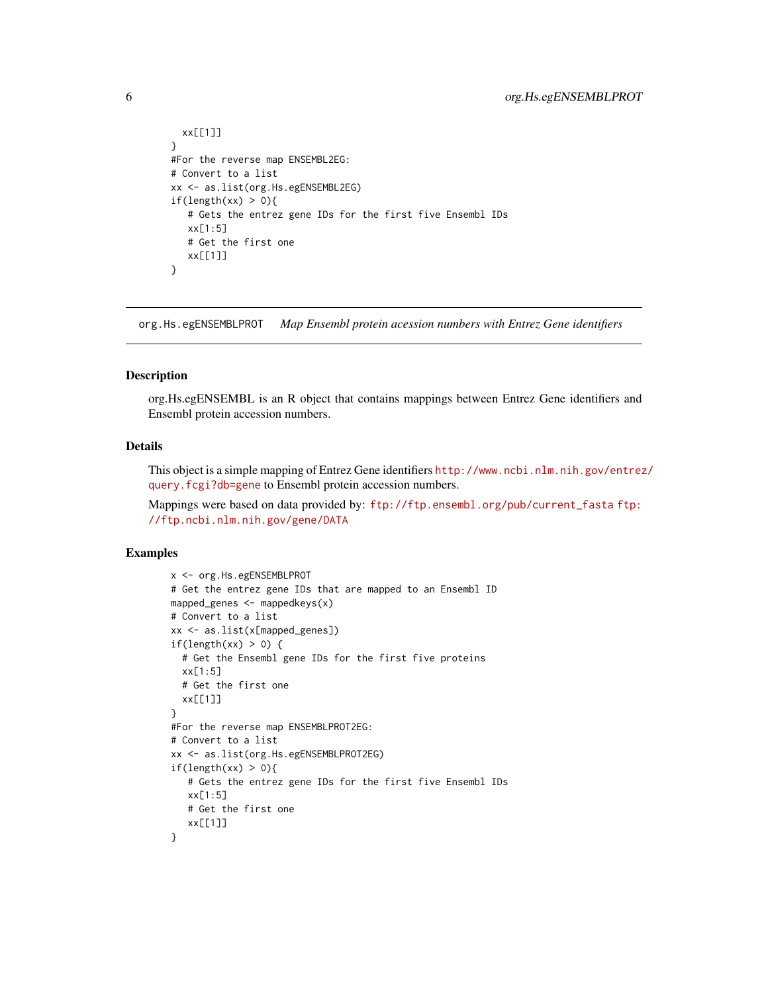```
xx[[1]]
}
#For the reverse map ENSEMBL2EG:
# Convert to a list
xx <- as.list(org.Hs.egENSEMBL2EG)
if(length(xx) > 0){
   # Gets the entrez gene IDs for the first five Ensembl IDs
   xx[1:5]
   # Get the first one
   xx[[1]]
}
```
org.Hs.egENSEMBLPROT *Map Ensembl protein acession numbers with Entrez Gene identifiers*

#### Description

org.Hs.egENSEMBL is an R object that contains mappings between Entrez Gene identifiers and Ensembl protein accession numbers.

### Details

This object is a simple mapping of Entrez Gene identifiers [http://www.ncbi.nlm.nih.gov/entrez](http://www.ncbi.nlm.nih.gov/entrez/query.fcgi?db=gene)/ [query.fcgi?db=gene](http://www.ncbi.nlm.nih.gov/entrez/query.fcgi?db=gene) to Ensembl protein accession numbers.

Mappings were based on data provided by: [ftp://ftp.ensembl.org/pub/current\\_fasta](ftp://ftp.ensembl.org/pub/current_fasta) [ftp:](ftp://ftp.ncbi.nlm.nih.gov/gene/DATA) [//ftp.ncbi.nlm.nih.gov/gene/DATA](ftp://ftp.ncbi.nlm.nih.gov/gene/DATA)

```
x <- org.Hs.egENSEMBLPROT
# Get the entrez gene IDs that are mapped to an Ensembl ID
mapped_genes \leq mappedkeys(x)# Convert to a list
xx <- as.list(x[mapped_genes])
if(length(xx) > 0) {
  # Get the Ensembl gene IDs for the first five proteins
  xx[1:5]
  # Get the first one
  xx[[1]]
}
#For the reverse map ENSEMBLPROT2EG:
# Convert to a list
xx <- as.list(org.Hs.egENSEMBLPROT2EG)
if(length(xx) > 0)# Gets the entrez gene IDs for the first five Ensembl IDs
   xx[1:5]
   # Get the first one
   xx[[1]]
}
```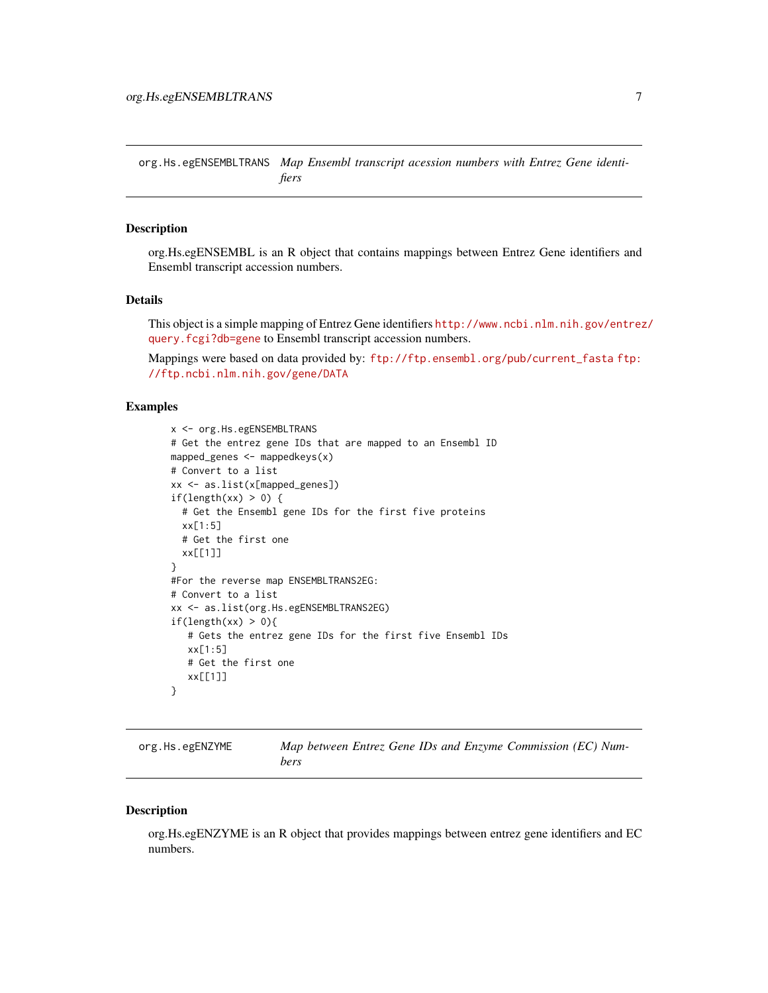<span id="page-6-0"></span>org.Hs.egENSEMBLTRANS *Map Ensembl transcript acession numbers with Entrez Gene identifiers*

### Description

org.Hs.egENSEMBL is an R object that contains mappings between Entrez Gene identifiers and Ensembl transcript accession numbers.

#### Details

This object is a simple mapping of Entrez Gene identifiers [http://www.ncbi.nlm.nih.gov/entrez](http://www.ncbi.nlm.nih.gov/entrez/query.fcgi?db=gene)/ [query.fcgi?db=gene](http://www.ncbi.nlm.nih.gov/entrez/query.fcgi?db=gene) to Ensembl transcript accession numbers.

Mappings were based on data provided by: [ftp://ftp.ensembl.org/pub/current\\_fasta](ftp://ftp.ensembl.org/pub/current_fasta) [ftp:](ftp://ftp.ncbi.nlm.nih.gov/gene/DATA) [//ftp.ncbi.nlm.nih.gov/gene/DATA](ftp://ftp.ncbi.nlm.nih.gov/gene/DATA)

# Examples

```
x <- org.Hs.egENSEMBLTRANS
# Get the entrez gene IDs that are mapped to an Ensembl ID
mapped_genes <- mappedkeys(x)
# Convert to a list
xx <- as.list(x[mapped_genes])
if(length(xx) > 0) {
  # Get the Ensembl gene IDs for the first five proteins
  xx[1:5]
  # Get the first one
  xx[[1]]
}
#For the reverse map ENSEMBLTRANS2EG:
# Convert to a list
xx <- as.list(org.Hs.egENSEMBLTRANS2EG)
if(length(xx) > 0){
   # Gets the entrez gene IDs for the first five Ensembl IDs
   xx[1:5]
   # Get the first one
   xx[[1]]
}
```
org.Hs.egENZYME *Map between Entrez Gene IDs and Enzyme Commission (EC) Numbers*

#### Description

org.Hs.egENZYME is an R object that provides mappings between entrez gene identifiers and EC numbers.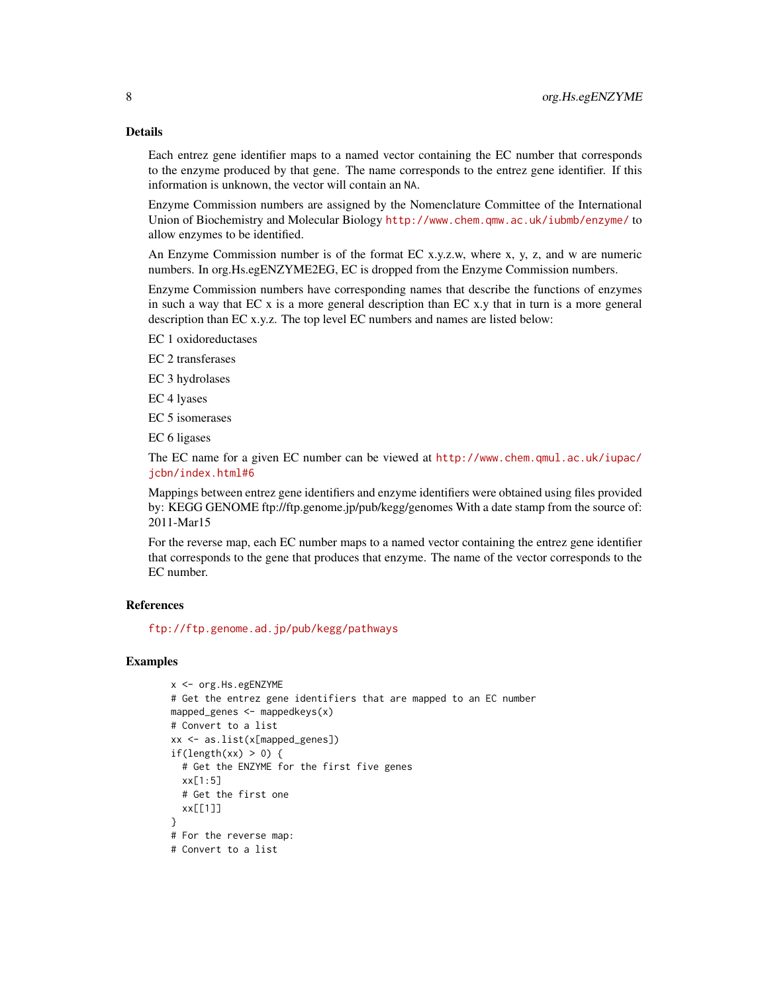Each entrez gene identifier maps to a named vector containing the EC number that corresponds to the enzyme produced by that gene. The name corresponds to the entrez gene identifier. If this information is unknown, the vector will contain an NA.

Enzyme Commission numbers are assigned by the Nomenclature Committee of the International Union of Biochemistry and Molecular Biology <http://www.chem.qmw.ac.uk/iubmb/enzyme/> to allow enzymes to be identified.

An Enzyme Commission number is of the format EC x.y.z.w, where x, y, z, and w are numeric numbers. In org.Hs.egENZYME2EG, EC is dropped from the Enzyme Commission numbers.

Enzyme Commission numbers have corresponding names that describe the functions of enzymes in such a way that EC x is a more general description than EC x.y that in turn is a more general description than EC x.y.z. The top level EC numbers and names are listed below:

EC 1 oxidoreductases

EC 2 transferases

EC 3 hydrolases

EC 4 lyases

EC 5 isomerases

EC 6 ligases

The EC name for a given EC number can be viewed at [http://www.chem.qmul.ac.uk/iupac/](http://www.chem.qmul.ac.uk/iupac/jcbn/index.html#6) [jcbn/index.html#6](http://www.chem.qmul.ac.uk/iupac/jcbn/index.html#6)

Mappings between entrez gene identifiers and enzyme identifiers were obtained using files provided by: KEGG GENOME ftp://ftp.genome.jp/pub/kegg/genomes With a date stamp from the source of: 2011-Mar15

For the reverse map, each EC number maps to a named vector containing the entrez gene identifier that corresponds to the gene that produces that enzyme. The name of the vector corresponds to the EC number.

## References

<ftp://ftp.genome.ad.jp/pub/kegg/pathways>

```
x <- org.Hs.egENZYME
# Get the entrez gene identifiers that are mapped to an EC number
mapped_genes \leq mappedkeys(x)
# Convert to a list
xx <- as.list(x[mapped_genes])
if(length(xx) > 0) {
  # Get the ENZYME for the first five genes
  xx[1:5]
  # Get the first one
  xx[[1]]
}
# For the reverse map:
# Convert to a list
```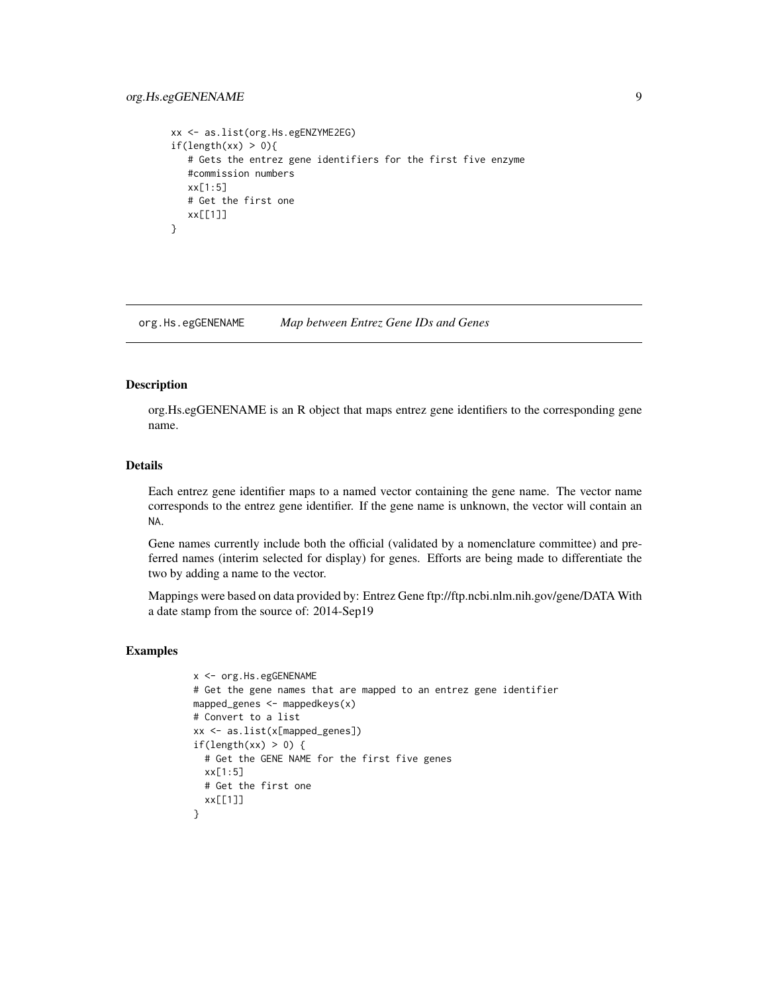# <span id="page-8-0"></span>org.Hs.egGENENAME 9

```
xx <- as.list(org.Hs.egENZYME2EG)
if(length(xx) > 0){
  # Gets the entrez gene identifiers for the first five enzyme
  #commission numbers
  xx[1:5]
  # Get the first one
  xx[[1]]
}
```
org.Hs.egGENENAME *Map between Entrez Gene IDs and Genes*

### Description

org.Hs.egGENENAME is an R object that maps entrez gene identifiers to the corresponding gene name.

## Details

Each entrez gene identifier maps to a named vector containing the gene name. The vector name corresponds to the entrez gene identifier. If the gene name is unknown, the vector will contain an NA.

Gene names currently include both the official (validated by a nomenclature committee) and preferred names (interim selected for display) for genes. Efforts are being made to differentiate the two by adding a name to the vector.

Mappings were based on data provided by: Entrez Gene ftp://ftp.ncbi.nlm.nih.gov/gene/DATA With a date stamp from the source of: 2014-Sep19

```
x <- org.Hs.egGENENAME
# Get the gene names that are mapped to an entrez gene identifier
mapped_genes <- mappedkeys(x)
# Convert to a list
xx <- as.list(x[mapped_genes])
if(length(xx) > 0) {
  # Get the GENE NAME for the first five genes
 xx[1:5]
 # Get the first one
 xx[[1]]
}
```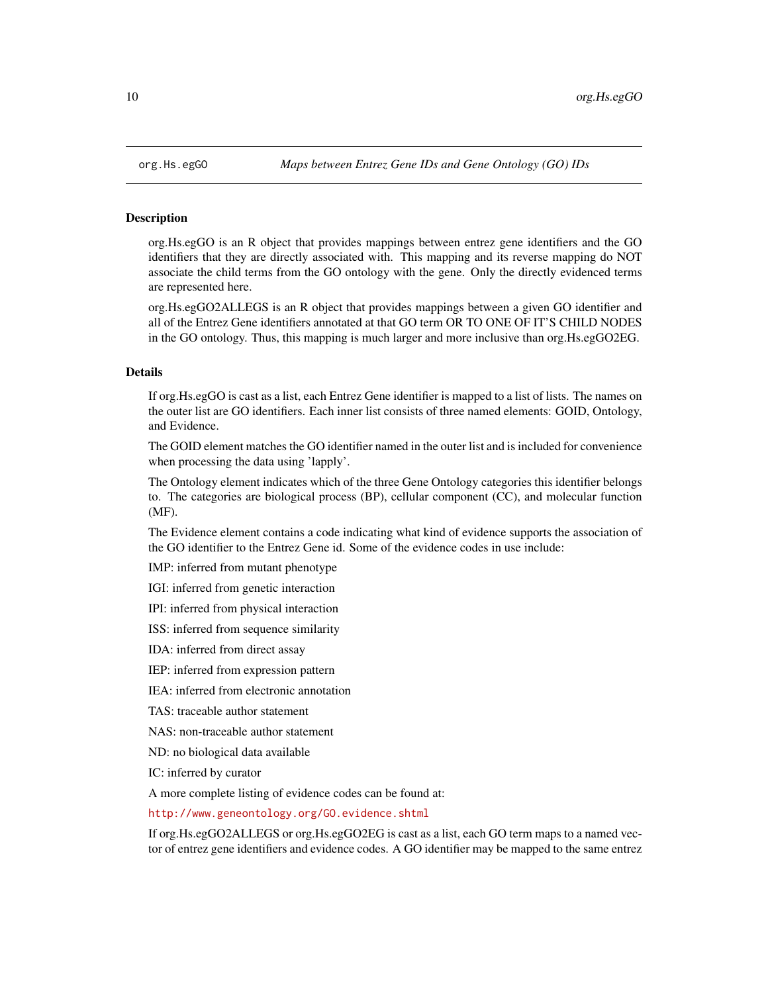## <span id="page-9-0"></span>Description

org.Hs.egGO is an R object that provides mappings between entrez gene identifiers and the GO identifiers that they are directly associated with. This mapping and its reverse mapping do NOT associate the child terms from the GO ontology with the gene. Only the directly evidenced terms are represented here.

org.Hs.egGO2ALLEGS is an R object that provides mappings between a given GO identifier and all of the Entrez Gene identifiers annotated at that GO term OR TO ONE OF IT'S CHILD NODES in the GO ontology. Thus, this mapping is much larger and more inclusive than org.Hs.egGO2EG.

# Details

If org.Hs.egGO is cast as a list, each Entrez Gene identifier is mapped to a list of lists. The names on the outer list are GO identifiers. Each inner list consists of three named elements: GOID, Ontology, and Evidence.

The GOID element matches the GO identifier named in the outer list and is included for convenience when processing the data using 'lapply'.

The Ontology element indicates which of the three Gene Ontology categories this identifier belongs to. The categories are biological process (BP), cellular component (CC), and molecular function (MF).

The Evidence element contains a code indicating what kind of evidence supports the association of the GO identifier to the Entrez Gene id. Some of the evidence codes in use include:

IMP: inferred from mutant phenotype

IGI: inferred from genetic interaction

IPI: inferred from physical interaction

ISS: inferred from sequence similarity

IDA: inferred from direct assay

IEP: inferred from expression pattern

IEA: inferred from electronic annotation

TAS: traceable author statement

NAS: non-traceable author statement

ND: no biological data available

IC: inferred by curator

A more complete listing of evidence codes can be found at:

<http://www.geneontology.org/GO.evidence.shtml>

If org.Hs.egGO2ALLEGS or org.Hs.egGO2EG is cast as a list, each GO term maps to a named vector of entrez gene identifiers and evidence codes. A GO identifier may be mapped to the same entrez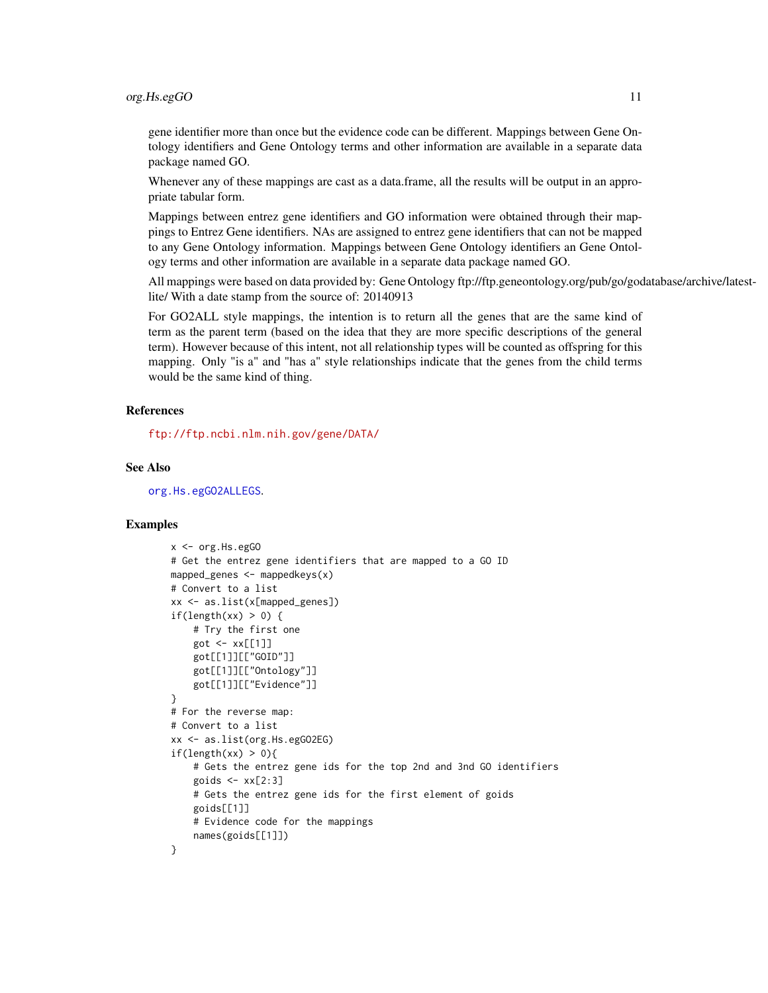#### org.Hs.egGO 11

gene identifier more than once but the evidence code can be different. Mappings between Gene Ontology identifiers and Gene Ontology terms and other information are available in a separate data package named GO.

Whenever any of these mappings are cast as a data.frame, all the results will be output in an appropriate tabular form.

Mappings between entrez gene identifiers and GO information were obtained through their mappings to Entrez Gene identifiers. NAs are assigned to entrez gene identifiers that can not be mapped to any Gene Ontology information. Mappings between Gene Ontology identifiers an Gene Ontology terms and other information are available in a separate data package named GO.

All mappings were based on data provided by: Gene Ontology ftp://ftp.geneontology.org/pub/go/godatabase/archive/latestlite/ With a date stamp from the source of: 20140913

For GO2ALL style mappings, the intention is to return all the genes that are the same kind of term as the parent term (based on the idea that they are more specific descriptions of the general term). However because of this intent, not all relationship types will be counted as offspring for this mapping. Only "is a" and "has a" style relationships indicate that the genes from the child terms would be the same kind of thing.

# References

<ftp://ftp.ncbi.nlm.nih.gov/gene/DATA/>

## See Also

[org.Hs.egGO2ALLEGS](#page-9-0).

```
x < - org. Hs. egGO
# Get the entrez gene identifiers that are mapped to a GO ID
mapped_genes \leq mappedkeys(x)
# Convert to a list
xx <- as.list(x[mapped_genes])
if(length(xx) > 0) {
    # Try the first one
    got \leftarrow xx[[1]]got[[1]][["GOID"]]
    got[[1]][["Ontology"]]
    got[[1]][["Evidence"]]
}
# For the reverse map:
# Convert to a list
xx <- as.list(org.Hs.egGO2EG)
if(length(xx) > 0){
    # Gets the entrez gene ids for the top 2nd and 3nd GO identifiers
    goids \leftarrow xx[2:3]# Gets the entrez gene ids for the first element of goids
    goids[[1]]
    # Evidence code for the mappings
    names(goids[[1]])
}
```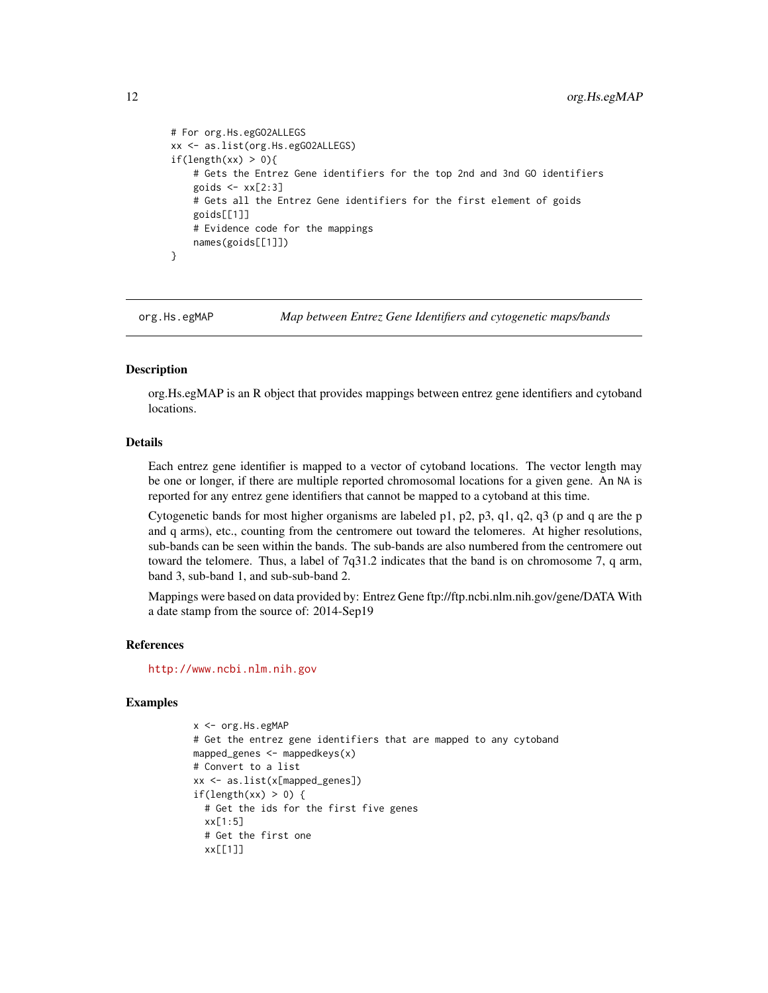```
# For org.Hs.egGO2ALLEGS
xx <- as.list(org.Hs.egGO2ALLEGS)
if(length(xx) > 0){
    # Gets the Entrez Gene identifiers for the top 2nd and 3nd GO identifiers
    goids \leftarrow xx[2:3]# Gets all the Entrez Gene identifiers for the first element of goids
    goids[[1]]
    # Evidence code for the mappings
    names(goids[[1]])
}
```
org.Hs.egMAP *Map between Entrez Gene Identifiers and cytogenetic maps/bands*

## Description

org.Hs.egMAP is an R object that provides mappings between entrez gene identifiers and cytoband locations.

## Details

Each entrez gene identifier is mapped to a vector of cytoband locations. The vector length may be one or longer, if there are multiple reported chromosomal locations for a given gene. An NA is reported for any entrez gene identifiers that cannot be mapped to a cytoband at this time.

Cytogenetic bands for most higher organisms are labeled p1, p2, p3, q1, q2, q3 (p and q are the p and q arms), etc., counting from the centromere out toward the telomeres. At higher resolutions, sub-bands can be seen within the bands. The sub-bands are also numbered from the centromere out toward the telomere. Thus, a label of 7q31.2 indicates that the band is on chromosome 7, q arm, band 3, sub-band 1, and sub-sub-band 2.

Mappings were based on data provided by: Entrez Gene ftp://ftp.ncbi.nlm.nih.gov/gene/DATA With a date stamp from the source of: 2014-Sep19

#### References

<http://www.ncbi.nlm.nih.gov>

```
x <- org.Hs.egMAP
# Get the entrez gene identifiers that are mapped to any cytoband
mapped_genes \leq mappedkeys(x)
# Convert to a list
xx <- as.list(x[mapped_genes])
if(length(xx) > 0) {
  # Get the ids for the first five genes
 xx[1:5]
  # Get the first one
 xx[[1]]
```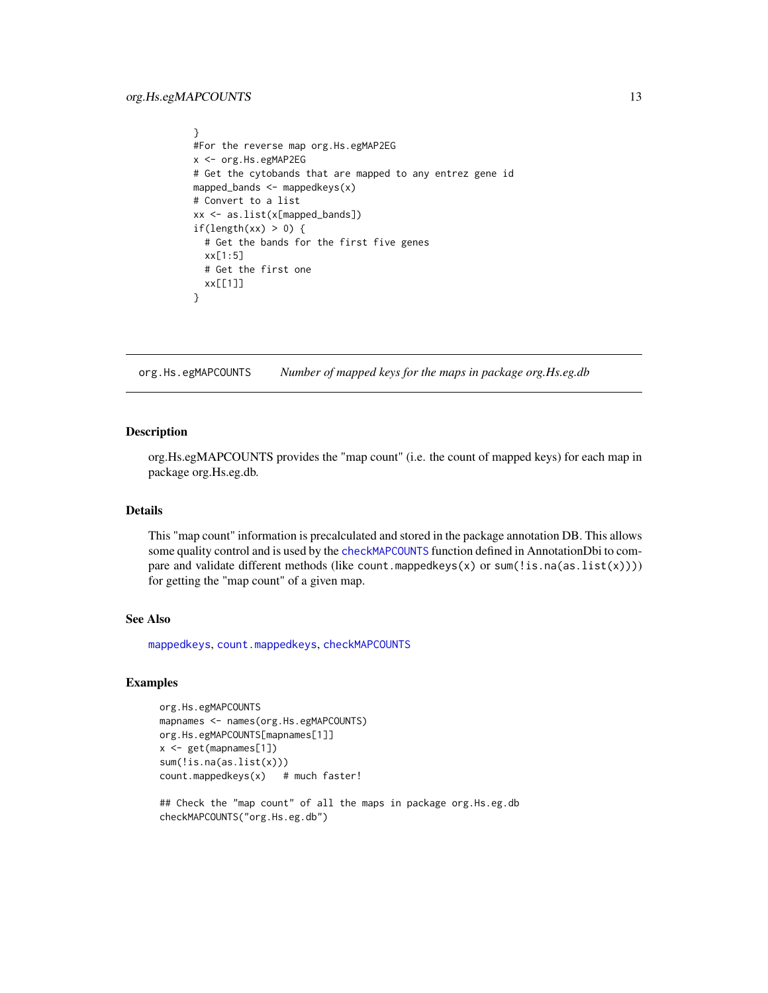```
}
#For the reverse map org.Hs.egMAP2EG
x <- org.Hs.egMAP2EG
# Get the cytobands that are mapped to any entrez gene id
mapped_bands \leq mappedkeys(x)
# Convert to a list
xx <- as.list(x[mapped_bands])
if(length(xx) > 0) {
  # Get the bands for the first five genes
 xx[1:5]
 # Get the first one
 xx[[1]]
}
```
org.Hs.egMAPCOUNTS *Number of mapped keys for the maps in package org.Hs.eg.db*

## Description

org.Hs.egMAPCOUNTS provides the "map count" (i.e. the count of mapped keys) for each map in package org.Hs.eg.db.

## Details

This "map count" information is precalculated and stored in the package annotation DB. This allows some quality control and is used by the [checkMAPCOUNTS](#page-0-0) function defined in AnnotationDbi to compare and validate different methods (like count.mappedkeys(x) or sum(!is.na(as.list(x)))) for getting the "map count" of a given map.

# See Also

[mappedkeys](#page-0-0), [count.mappedkeys](#page-0-0), [checkMAPCOUNTS](#page-0-0)

```
org.Hs.egMAPCOUNTS
mapnames <- names(org.Hs.egMAPCOUNTS)
org.Hs.egMAPCOUNTS[mapnames[1]]
x \leq - get(mapnames[1])
sum(!is.na(as.list(x)))
count.mappedkeys(x) # much faster!
```

```
## Check the "map count" of all the maps in package org. Hs.eg.db
checkMAPCOUNTS("org.Hs.eg.db")
```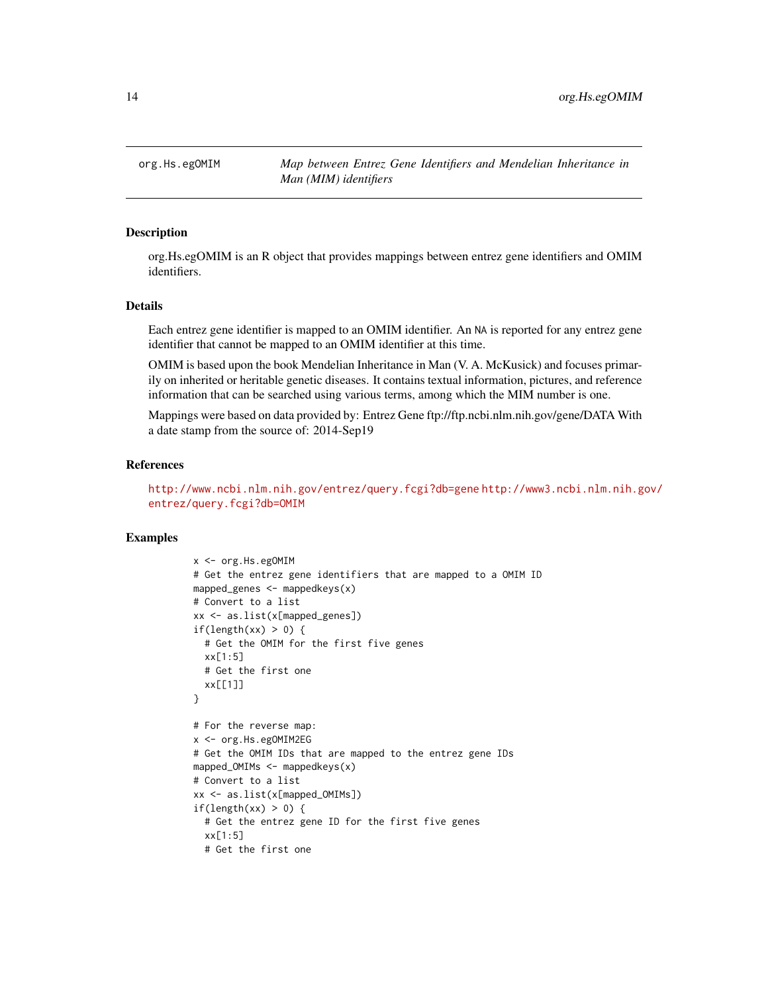<span id="page-13-0"></span>org.Hs.egOMIM *Map between Entrez Gene Identifiers and Mendelian Inheritance in Man (MIM) identifiers*

### Description

org.Hs.egOMIM is an R object that provides mappings between entrez gene identifiers and OMIM identifiers.

#### Details

Each entrez gene identifier is mapped to an OMIM identifier. An NA is reported for any entrez gene identifier that cannot be mapped to an OMIM identifier at this time.

OMIM is based upon the book Mendelian Inheritance in Man (V. A. McKusick) and focuses primarily on inherited or heritable genetic diseases. It contains textual information, pictures, and reference information that can be searched using various terms, among which the MIM number is one.

Mappings were based on data provided by: Entrez Gene ftp://ftp.ncbi.nlm.nih.gov/gene/DATA With a date stamp from the source of: 2014-Sep19

#### References

<http://www.ncbi.nlm.nih.gov/entrez/query.fcgi?db=gene> [http://www3.ncbi.nlm.nih.g](http://www3.ncbi.nlm.nih.gov/entrez/query.fcgi?db=OMIM)ov/ [entrez/query.fcgi?db=OMIM](http://www3.ncbi.nlm.nih.gov/entrez/query.fcgi?db=OMIM)

```
x <- org.Hs.egOMIM
# Get the entrez gene identifiers that are mapped to a OMIM ID
mapped_genes \leq mappedkeys(x)
# Convert to a list
xx <- as.list(x[mapped_genes])
if(length(xx) > 0) {
  # Get the OMIM for the first five genes
 xx[1:5]
 # Get the first one
  xx[[1]]
}
# For the reverse map:
x <- org.Hs.egOMIM2EG
# Get the OMIM IDs that are mapped to the entrez gene IDs
mapped_OMIMS \leftarrow mappedkeys(x)# Convert to a list
xx <- as.list(x[mapped_OMIMs])
if(length(xx) > 0) {
 # Get the entrez gene ID for the first five genes
 xx[1:5]
 # Get the first one
```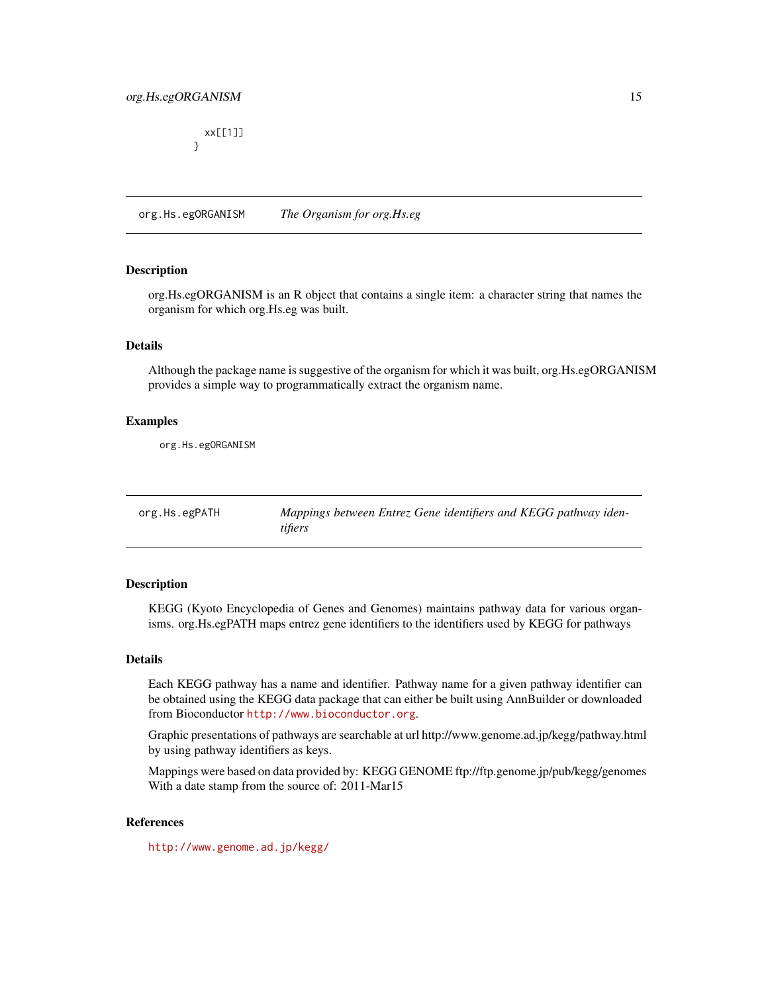# <span id="page-14-0"></span>org.Hs.egORGANISM 15

xx[[1]] }

org.Hs.egORGANISM *The Organism for org.Hs.eg*

#### Description

org.Hs.egORGANISM is an R object that contains a single item: a character string that names the organism for which org.Hs.eg was built.

# Details

Although the package name is suggestive of the organism for which it was built, org.Hs.egORGANISM provides a simple way to programmatically extract the organism name.

# Examples

org.Hs.egORGANISM

org.Hs.egPATH *Mappings between Entrez Gene identifiers and KEGG pathway identifiers*

# Description

KEGG (Kyoto Encyclopedia of Genes and Genomes) maintains pathway data for various organisms. org.Hs.egPATH maps entrez gene identifiers to the identifiers used by KEGG for pathways

#### Details

Each KEGG pathway has a name and identifier. Pathway name for a given pathway identifier can be obtained using the KEGG data package that can either be built using AnnBuilder or downloaded from Bioconductor <http://www.bioconductor.org>.

Graphic presentations of pathways are searchable at url http://www.genome.ad.jp/kegg/pathway.html by using pathway identifiers as keys.

Mappings were based on data provided by: KEGG GENOME ftp://ftp.genome.jp/pub/kegg/genomes With a date stamp from the source of: 2011-Mar15

# References

<http://www.genome.ad.jp/kegg/>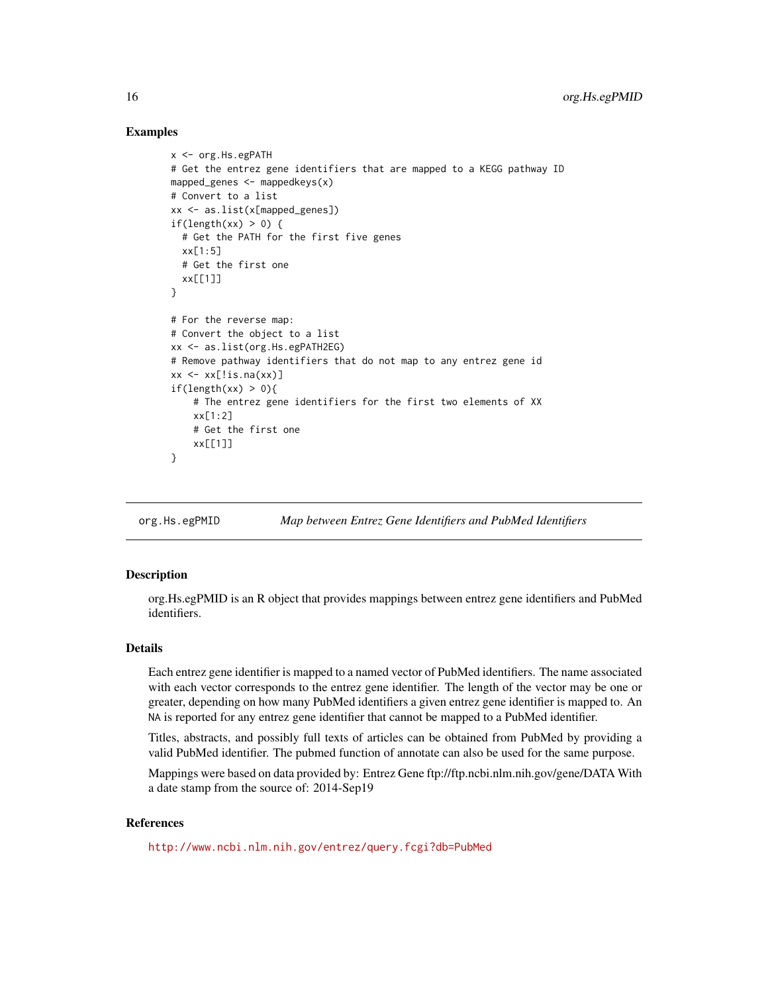#### Examples

```
x <- org.Hs.egPATH
# Get the entrez gene identifiers that are mapped to a KEGG pathway ID
mapped_genes \leq mappedkeys(x)
# Convert to a list
xx <- as.list(x[mapped_genes])
if(length(xx) > 0) {
  # Get the PATH for the first five genes
  xx[1:5]
  # Get the first one
  xx[[1]]
}
# For the reverse map:
# Convert the object to a list
xx <- as.list(org.Hs.egPATH2EG)
# Remove pathway identifiers that do not map to any entrez gene id
xx \le - xx[!is.na(xx)]
if(length(xx) > 0){
    # The entrez gene identifiers for the first two elements of XX
    xx[1:2]
    # Get the first one
    xx[[1]]
}
```
org.Hs.egPMID *Map between Entrez Gene Identifiers and PubMed Identifiers*

#### **Description**

org.Hs.egPMID is an R object that provides mappings between entrez gene identifiers and PubMed identifiers.

# Details

Each entrez gene identifier is mapped to a named vector of PubMed identifiers. The name associated with each vector corresponds to the entrez gene identifier. The length of the vector may be one or greater, depending on how many PubMed identifiers a given entrez gene identifier is mapped to. An NA is reported for any entrez gene identifier that cannot be mapped to a PubMed identifier.

Titles, abstracts, and possibly full texts of articles can be obtained from PubMed by providing a valid PubMed identifier. The pubmed function of annotate can also be used for the same purpose.

Mappings were based on data provided by: Entrez Gene ftp://ftp.ncbi.nlm.nih.gov/gene/DATA With a date stamp from the source of: 2014-Sep19

# References

<http://www.ncbi.nlm.nih.gov/entrez/query.fcgi?db=PubMed>

<span id="page-15-0"></span>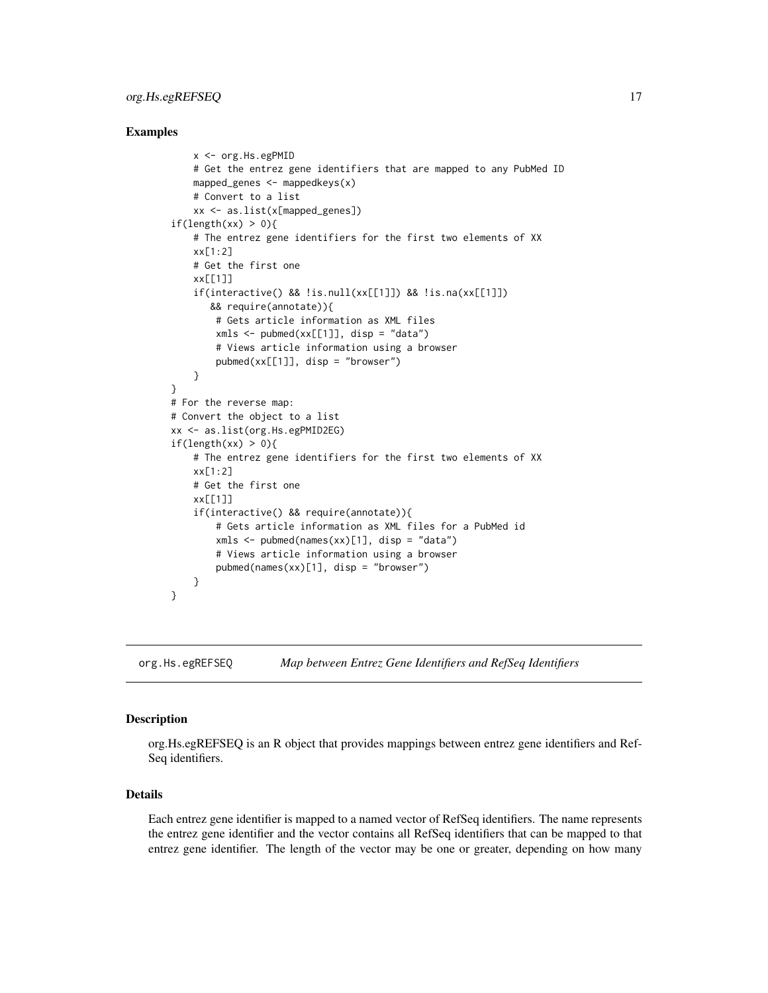# <span id="page-16-0"></span>org.Hs.egREFSEQ 17

## Examples

```
x <- org.Hs.egPMID
    # Get the entrez gene identifiers that are mapped to any PubMed ID
    mapped_genes \leq mappedkeys(x)
    # Convert to a list
    xx <- as.list(x[mapped_genes])
if(length(xx) > 0){
    # The entrez gene identifiers for the first two elements of XX
    xx[1:2]
    # Get the first one
    xx[[1]]
    if(interactive() && !is.null(xx[[1]]) && !is.na(xx[[1]])
       && require(annotate)){
        # Gets article information as XML files
        xmls < -pubmed(xx[[1]], disp = "data")# Views article information using a browser
        pubmed(xx[[1]], disp = "browser")
    }
}
# For the reverse map:
# Convert the object to a list
xx <- as.list(org.Hs.egPMID2EG)
if(length(xx) > 0)# The entrez gene identifiers for the first two elements of XX
    xx[1:2]
    # Get the first one
    xx[[1]]
    if(interactive() && require(annotate)){
        # Gets article information as XML files for a PubMed id
        xmls < -pubmed(names(xx)[1], disp = "data")# Views article information using a browser
        pubmed(names(xx)[1], disp = "browser")
    }
}
```
org.Hs.egREFSEQ *Map between Entrez Gene Identifiers and RefSeq Identifiers*

#### Description

org.Hs.egREFSEQ is an R object that provides mappings between entrez gene identifiers and Ref-Seq identifiers.

#### Details

Each entrez gene identifier is mapped to a named vector of RefSeq identifiers. The name represents the entrez gene identifier and the vector contains all RefSeq identifiers that can be mapped to that entrez gene identifier. The length of the vector may be one or greater, depending on how many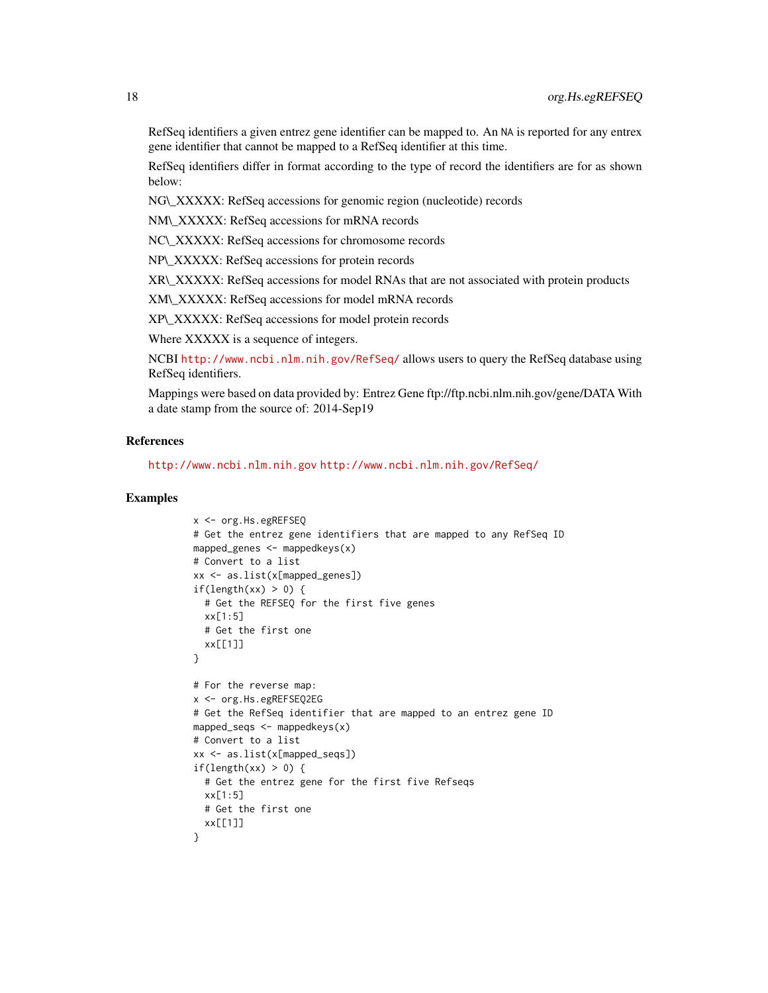RefSeq identifiers a given entrez gene identifier can be mapped to. An NA is reported for any entrex gene identifier that cannot be mapped to a RefSeq identifier at this time.

RefSeq identifiers differ in format according to the type of record the identifiers are for as shown below:

NG\\_XXXXX: RefSeq accessions for genomic region (nucleotide) records

NM\\_XXXXX: RefSeq accessions for mRNA records

NC\\_XXXXX: RefSeq accessions for chromosome records

NP\\_XXXXX: RefSeq accessions for protein records

XR\\_XXXXX: RefSeq accessions for model RNAs that are not associated with protein products

XM\\_XXXXX: RefSeq accessions for model mRNA records

XP\\_XXXXX: RefSeq accessions for model protein records

Where XXXXX is a sequence of integers.

NCBI <http://www.ncbi.nlm.nih.gov/RefSeq/> allows users to query the RefSeq database using RefSeq identifiers.

Mappings were based on data provided by: Entrez Gene ftp://ftp.ncbi.nlm.nih.gov/gene/DATA With a date stamp from the source of: 2014-Sep19

# References

<http://www.ncbi.nlm.nih.gov> <http://www.ncbi.nlm.nih.gov/RefSeq/>

```
x <- org.Hs.egREFSEQ
# Get the entrez gene identifiers that are mapped to any RefSeq ID
mapped_genes \leq mappedkeys(x)
# Convert to a list
xx <- as.list(x[mapped_genes])
if(length(xx) > 0) {
 # Get the REFSEQ for the first five genes
 xx[1:5]
 # Get the first one
 xx[[1]]
}
# For the reverse map:
x <- org.Hs.egREFSEQ2EG
# Get the RefSeq identifier that are mapped to an entrez gene ID
mapped_seqs \leq mappedkeys(x)
# Convert to a list
xx <- as.list(x[mapped_seqs])
if(length(xx) > 0) {
 # Get the entrez gene for the first five Refseqs
 xx[1:5]
 # Get the first one
  xx[[1]]
}
```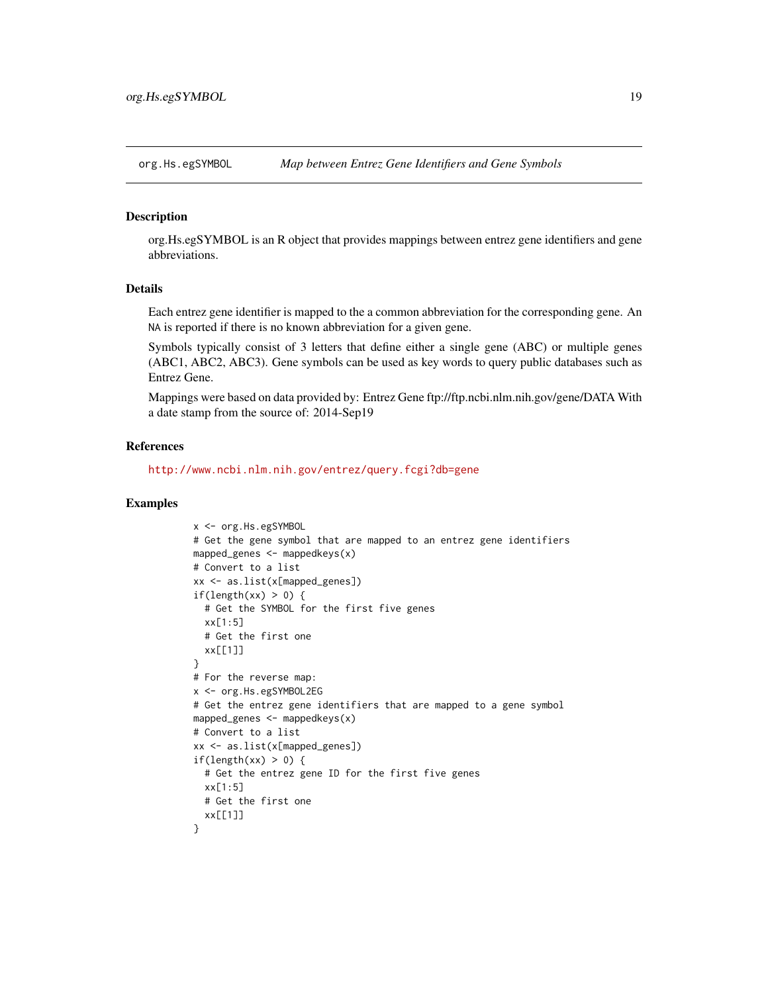<span id="page-18-0"></span>

#### Description

org.Hs.egSYMBOL is an R object that provides mappings between entrez gene identifiers and gene abbreviations.

# Details

Each entrez gene identifier is mapped to the a common abbreviation for the corresponding gene. An NA is reported if there is no known abbreviation for a given gene.

Symbols typically consist of 3 letters that define either a single gene (ABC) or multiple genes (ABC1, ABC2, ABC3). Gene symbols can be used as key words to query public databases such as Entrez Gene.

Mappings were based on data provided by: Entrez Gene ftp://ftp.ncbi.nlm.nih.gov/gene/DATA With a date stamp from the source of: 2014-Sep19

#### References

<http://www.ncbi.nlm.nih.gov/entrez/query.fcgi?db=gene>

```
x <- org.Hs.egSYMBOL
# Get the gene symbol that are mapped to an entrez gene identifiers
mapped_genes \leq mappedkeys(x)
# Convert to a list
xx <- as.list(x[mapped_genes])
if(length(xx) > 0) {
 # Get the SYMBOL for the first five genes
 xx[1:5]
 # Get the first one
 xx[[1]]
}
# For the reverse map:
x <- org.Hs.egSYMBOL2EG
# Get the entrez gene identifiers that are mapped to a gene symbol
mapped_genes <- mappedkeys(x)
# Convert to a list
xx <- as.list(x[mapped_genes])
if(length(xx) > 0) {
 # Get the entrez gene ID for the first five genes
  xx[1:5]
 # Get the first one
 xx[[1]]
}
```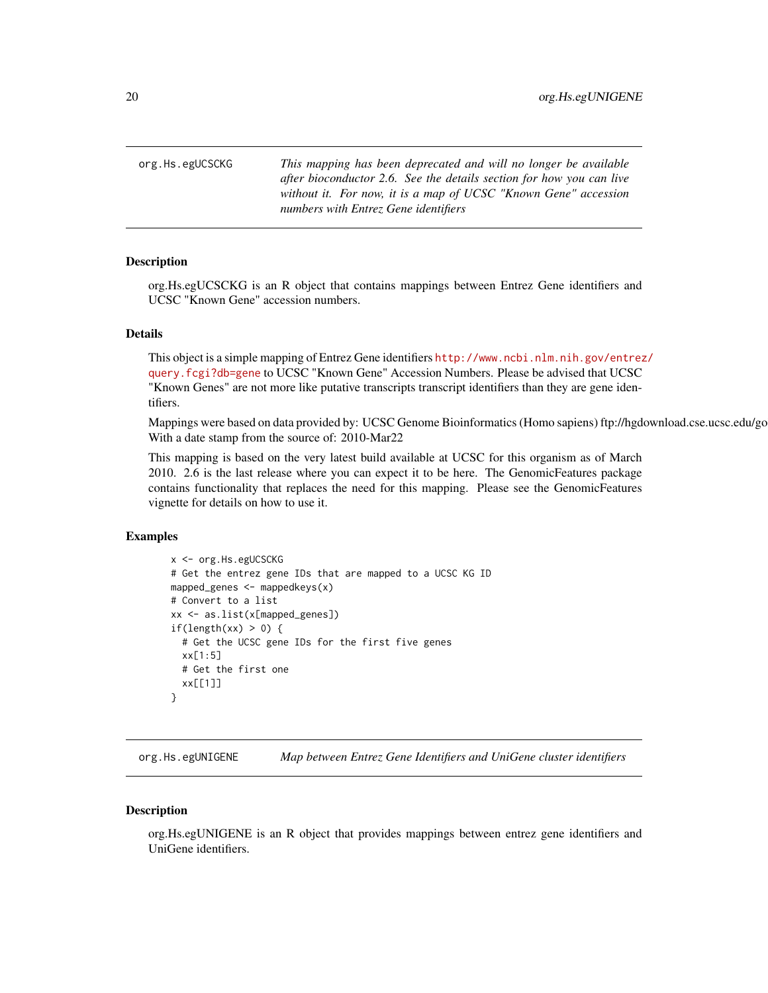<span id="page-19-0"></span>org.Hs.egUCSCKG *This mapping has been deprecated and will no longer be available after bioconductor 2.6. See the details section for how you can live without it. For now, it is a map of UCSC "Known Gene" accession numbers with Entrez Gene identifiers*

#### Description

org.Hs.egUCSCKG is an R object that contains mappings between Entrez Gene identifiers and UCSC "Known Gene" accession numbers.

#### Details

This object is a simple mapping of Entrez Gene identifiers [http://www.ncbi.nlm.nih.gov/entrez](http://www.ncbi.nlm.nih.gov/entrez/query.fcgi?db=gene)/ [query.fcgi?db=gene](http://www.ncbi.nlm.nih.gov/entrez/query.fcgi?db=gene) to UCSC "Known Gene" Accession Numbers. Please be advised that UCSC "Known Genes" are not more like putative transcripts transcript identifiers than they are gene identifiers.

Mappings were based on data provided by: UCSC Genome Bioinformatics (Homo sapiens) ftp://hgdownload.cse.ucsc.edu/go With a date stamp from the source of: 2010-Mar22

This mapping is based on the very latest build available at UCSC for this organism as of March 2010. 2.6 is the last release where you can expect it to be here. The GenomicFeatures package contains functionality that replaces the need for this mapping. Please see the GenomicFeatures vignette for details on how to use it.

# Examples

```
x <- org.Hs.egUCSCKG
# Get the entrez gene IDs that are mapped to a UCSC KG ID
mapped_genes <- mappedkeys(x)
# Convert to a list
xx <- as.list(x[mapped_genes])
if(length(xx) > 0) {
  # Get the UCSC gene IDs for the first five genes
  xx[1:5]
  # Get the first one
  xx[[1]]
}
```
org.Hs.egUNIGENE *Map between Entrez Gene Identifiers and UniGene cluster identifiers*

#### **Description**

org.Hs.egUNIGENE is an R object that provides mappings between entrez gene identifiers and UniGene identifiers.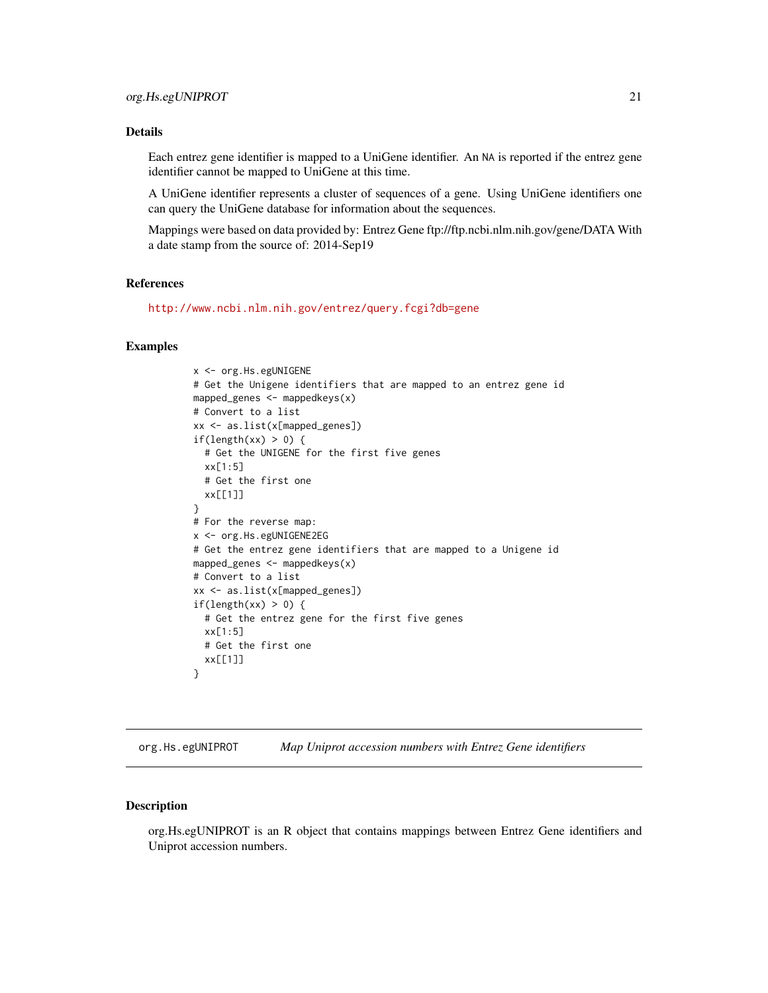<span id="page-20-0"></span>Each entrez gene identifier is mapped to a UniGene identifier. An NA is reported if the entrez gene identifier cannot be mapped to UniGene at this time.

A UniGene identifier represents a cluster of sequences of a gene. Using UniGene identifiers one can query the UniGene database for information about the sequences.

Mappings were based on data provided by: Entrez Gene ftp://ftp.ncbi.nlm.nih.gov/gene/DATA With a date stamp from the source of: 2014-Sep19

### References

<http://www.ncbi.nlm.nih.gov/entrez/query.fcgi?db=gene>

#### Examples

```
x <- org.Hs.egUNIGENE
# Get the Unigene identifiers that are mapped to an entrez gene id
mapped_genes <- mappedkeys(x)
# Convert to a list
xx <- as.list(x[mapped_genes])
if(length(xx) > 0) {
  # Get the UNIGENE for the first five genes
 xx[1:5]
 # Get the first one
 xx[[1]]
}
# For the reverse map:
x <- org.Hs.egUNIGENE2EG
# Get the entrez gene identifiers that are mapped to a Unigene id
mapped_genes <- mappedkeys(x)
# Convert to a list
xx <- as.list(x[mapped_genes])
if(length(xx) > 0) {
  # Get the entrez gene for the first five genes
 xx[1:5]
 # Get the first one
  xx[[1]]
}
```
org.Hs.egUNIPROT *Map Uniprot accession numbers with Entrez Gene identifiers*

#### Description

org.Hs.egUNIPROT is an R object that contains mappings between Entrez Gene identifiers and Uniprot accession numbers.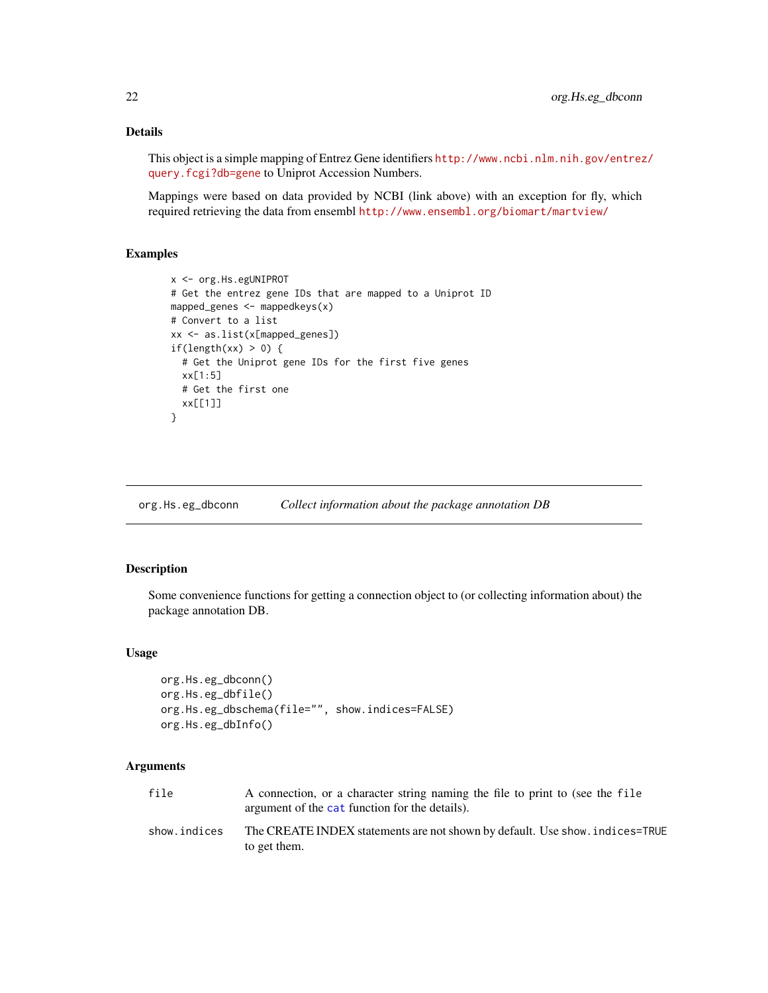This object is a simple mapping of Entrez Gene identifiers [http://www.ncbi.nlm.nih.gov/entrez](http://www.ncbi.nlm.nih.gov/entrez/query.fcgi?db=gene)/ [query.fcgi?db=gene](http://www.ncbi.nlm.nih.gov/entrez/query.fcgi?db=gene) to Uniprot Accession Numbers.

Mappings were based on data provided by NCBI (link above) with an exception for fly, which required retrieving the data from ensembl <http://www.ensembl.org/biomart/martview/>

# Examples

```
x <- org.Hs.egUNIPROT
# Get the entrez gene IDs that are mapped to a Uniprot ID
mapped_genes <- mappedkeys(x)
# Convert to a list
xx <- as.list(x[mapped_genes])
if(length(xx) > 0) {
  # Get the Uniprot gene IDs for the first five genes
  xx[1:5]
  # Get the first one
  xx[[1]]
}
```
org.Hs.eg\_dbconn *Collect information about the package annotation DB*

#### Description

Some convenience functions for getting a connection object to (or collecting information about) the package annotation DB.

#### Usage

```
org.Hs.eg_dbconn()
org.Hs.eg_dbfile()
org.Hs.eg_dbschema(file="", show.indices=FALSE)
org.Hs.eg_dbInfo()
```
# Arguments

| file         | A connection, or a character string naming the file to print to (see the file<br>argument of the cat function for the details). |
|--------------|---------------------------------------------------------------------------------------------------------------------------------|
| show.indices | The CREATE INDEX statements are not shown by default. Use show, indices=TRUE<br>to get them.                                    |

<span id="page-21-0"></span>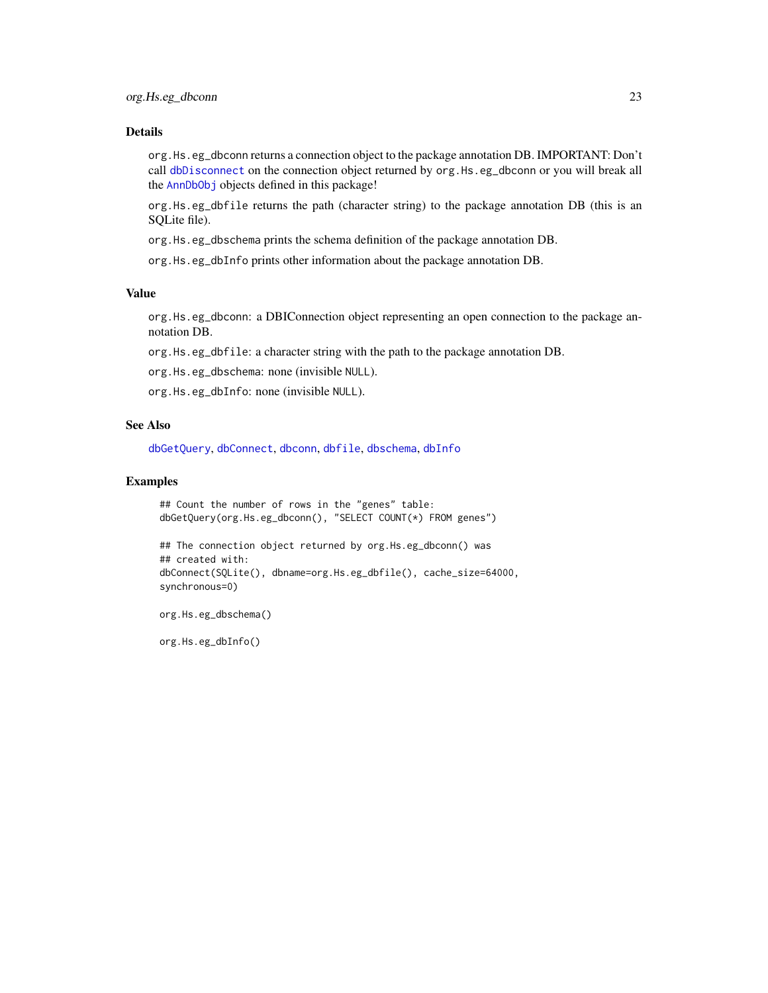org.Hs.eg\_dbconn returns a connection object to the package annotation DB. IMPORTANT: Don't call [dbDisconnect](#page-0-0) on the connection object returned by org. Hs.eg\_dbconn or you will break all the [AnnDbObj](#page-0-0) objects defined in this package!

org.Hs.eg\_dbfile returns the path (character string) to the package annotation DB (this is an SQLite file).

org.Hs.eg\_dbschema prints the schema definition of the package annotation DB.

org.Hs.eg\_dbInfo prints other information about the package annotation DB.

# Value

org.Hs.eg\_dbconn: a DBIConnection object representing an open connection to the package annotation DB.

org.Hs.eg\_dbfile: a character string with the path to the package annotation DB.

org.Hs.eg\_dbschema: none (invisible NULL).

org.Hs.eg\_dbInfo: none (invisible NULL).

#### See Also

[dbGetQuery](#page-0-0), [dbConnect](#page-0-0), [dbconn](#page-0-0), [dbfile](#page-0-0), [dbschema](#page-0-0), [dbInfo](#page-0-0)

#### Examples

```
## Count the number of rows in the "genes" table:
dbGetQuery(org.Hs.eg_dbconn(), "SELECT COUNT(*) FROM genes")
## The connection object returned by org.Hs.eg_dbconn() was
## created with:
dbConnect(SQLite(), dbname=org.Hs.eg_dbfile(), cache_size=64000,
synchronous=0)
```
org.Hs.eg\_dbschema()

org.Hs.eg\_dbInfo()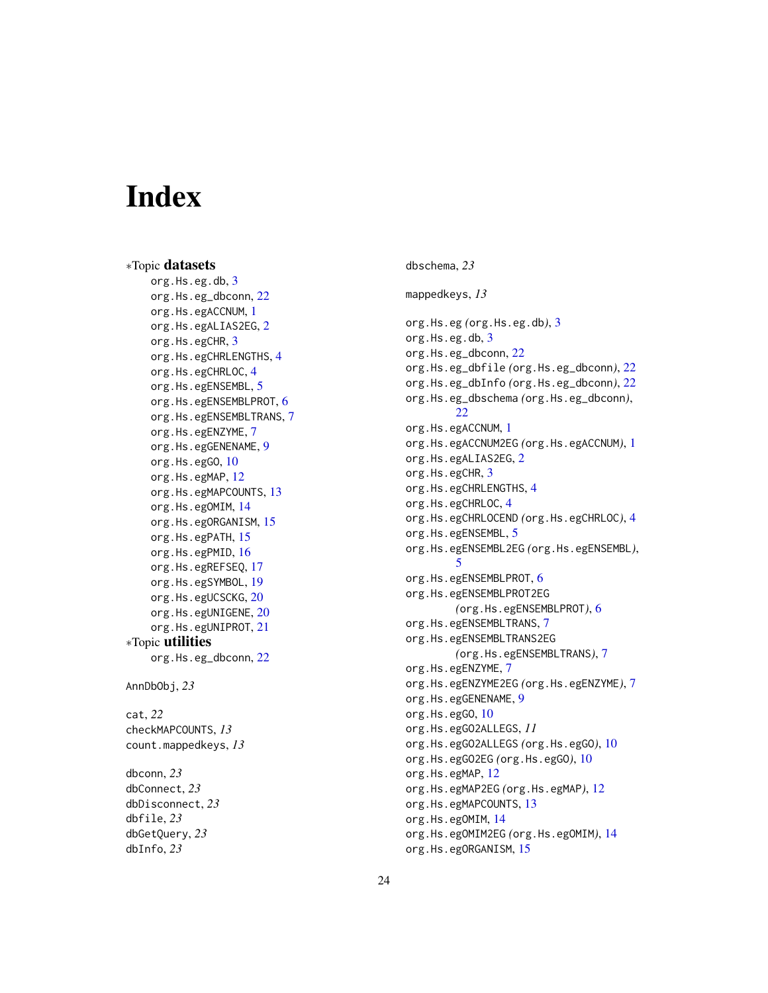# Index

∗Topic datasets org.Hs.eg.db, <mark>[3](#page-2-0)</mark> org.Hs.eg\_dbconn , [22](#page-21-0) org.Hs.egACCNUM , [1](#page-0-1) org.Hs.egALIAS2EG , [2](#page-1-0) org.Hs.egCHR, <mark>[3](#page-2-0)</mark> org.Hs.egCHRLENGTHS, [4](#page-3-0) org.Hs.egCHRLOC, [4](#page-3-0) org.Hs.egENSEMBL, [5](#page-4-0) org.Hs.egENSEMBLPROT, [6](#page-5-0) org.Hs.egENSEMBLTRANS, [7](#page-6-0) org.Hs.egENZYME, [7](#page-6-0) org.Hs.egGENENAME, [9](#page-8-0) org.Hs.egGO, [10](#page-9-1) org.Hs.egMAP, [12](#page-11-0) org.Hs.egMAPCOUNTS, [13](#page-12-0) org.Hs.egOMIM, [14](#page-13-0) org.Hs.egORGANISM, [15](#page-14-0) org.Hs.egPATH, [15](#page-14-0) org.Hs.egPMID, [16](#page-15-0) org.Hs.egREFSEQ , [17](#page-16-0) org.Hs.egSYMBOL , [19](#page-18-0) org.Hs.egUCSCKG, [20](#page-19-0) org.Hs.egUNIGENE , [20](#page-19-0) org.Hs.egUNIPROT , [21](#page-20-0) ∗Topic utilities org.Hs.eg\_dbconn , [22](#page-21-0) AnnDbObj , *23* cat , *22* checkMAPCOUNTS , *13* count.mappedkeys , *13* dbconn , *23* dbConnect , *23* dbDisconnect , *23* dbfile , *23* dbGetQuery , *23* dbInfo , *23*

dbschema , *23*

mappedkeys , *13*

org.Hs.eg *(*org.Hs.eg.db *)* , [3](#page-2-0) org.Hs.eg.db, [3](#page-2-0) org.Hs.eg\_dbconn , [22](#page-21-0) org.Hs.eg\_dbfile *(*org.Hs.eg\_dbconn *)* , [22](#page-21-0) org.Hs.eg\_dbInfo *(*org.Hs.eg\_dbconn *)* , [22](#page-21-0) org.Hs.eg\_dbschema *(*org.Hs.eg\_dbconn *)* , [22](#page-21-0) org.Hs.egACCNUM, [1](#page-0-1) org.Hs.egACCNUM2EG *(*org.Hs.egACCNUM *)* , [1](#page-0-1) org.Hs.egALIAS[2](#page-1-0)EG, 2 org.Hs.egCHR, [3](#page-2-0) org.Hs.egCHRLENGTHS, [4](#page-3-0) org.Hs.egCHRLOC, [4](#page-3-0) org.Hs.egCHRLOCEND *(*org.Hs.egCHRLOC *)* , [4](#page-3-0) org.Hs.egENSEMBL, [5](#page-4-0) org.Hs.egENSEMBL2EG *(*org.Hs.egENSEMBL *)* , [5](#page-4-0) org.Hs.egENSEMBLPROT, [6](#page-5-0) org.Hs.egENSEMBLPROT2EG *(*org.Hs.egENSEMBLPROT *)* , [6](#page-5-0) org.Hs.egENSEMBLTRANS, [7](#page-6-0) org.Hs.egENSEMBLTRANS2EG *(*org.Hs.egENSEMBLTRANS *)* , [7](#page-6-0) org.Hs.egENZYME, [7](#page-6-0) org.Hs.egENZYME2EG *(*org.Hs.egENZYME *)* , [7](#page-6-0) org.Hs.egGENENAME, [9](#page-8-0) org.Hs.egG0,  $10$ org.Hs.egGO2ALLEGS , *11* org.Hs.egGO2ALLEGS *(*org.Hs.egGO *)* , [10](#page-9-1) org.Hs.egGO2EG *(*org.Hs.egGO *)* , [10](#page-9-1) org.Hs.egMAP,  $12$ org.Hs.egMAP2EG *(*org.Hs.egMAP *)* , [12](#page-11-0) org.Hs.egMAPCOUNTS, [13](#page-12-0) org.Hs.egOMIM, [14](#page-13-0) org.Hs.egOMIM2EG *(*org.Hs.egOMIM *)* , [14](#page-13-0) org.Hs.egORGANISM, [15](#page-14-0)